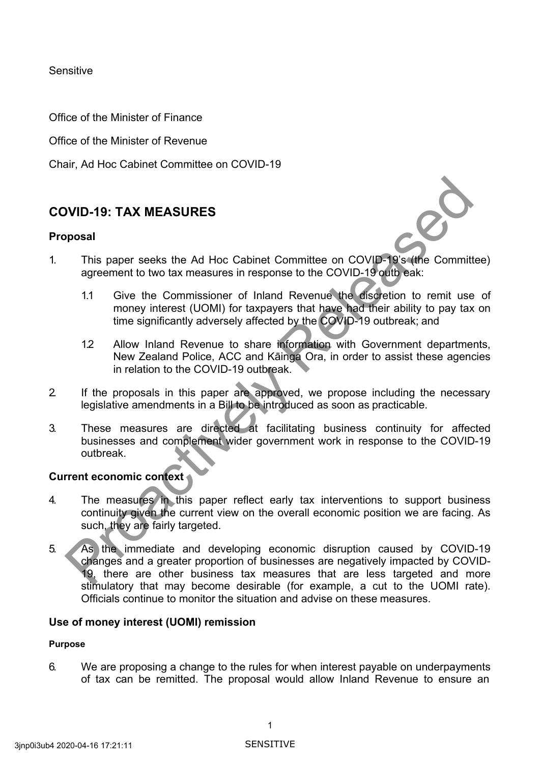Sensitive

Office of the Minister of Finance

Office of the Minister of Revenue

Chair, Ad Hoc Cabinet Committee on COVID-19

# **COVID-19: TAX MEASURES**

### **Proposal**



- 1. This paper seeks the Ad Hoc Cabinet Committee on COVID-19's (the Committee) agreement to two tax measures in response to the COVID-19 outb eak:
	- 1.1 Give the Commissioner of Inland Revenue the discretion to remit use of money interest (UOMI) for taxpayers that have had their ability to pay tax on time significantly adversely affected by the COVID-19 outbreak; and
	- 1.2 Allow Inland Revenue to share information with Government departments, New Zealand Police, ACC and Kāinga Ora, in order to assist these agencies in relation to the COVID-19 outbreak.
- 2. If the proposals in this paper are approved, we propose including the necessary legislative amendments in a Bill to be introduced as soon as practicable.
- 3. These measures are directed at facilitating business continuity for affected businesses and complement wider government work in response to the COVID-19 outbreak.

## **Current economic context**

- 4. The measures in this paper reflect early tax interventions to support business continuity given the current view on the overall economic position we are facing. As such, they are fairly targeted.
- 5. As the immediate and developing economic disruption caused by COVID-19 changes and a greater proportion of businesses are negatively impacted by COVID-19, there are other business tax measures that are less targeted and more stimulatory that may become desirable (for example, a cut to the UOMI rate). Officials continue to monitor the situation and advise on these measures. **Source The measures are directed** estimation intervention was the computer of phase and a greater reportion of the computer of the computer of the computer of the computer of the computer of the computer of the computer o

## **Use of money interest (UOMI) remission**

### **Purpose**

6. We are proposing a change to the rules for when interest payable on underpayments of tax can be remitted. The proposal would allow Inland Revenue to ensure an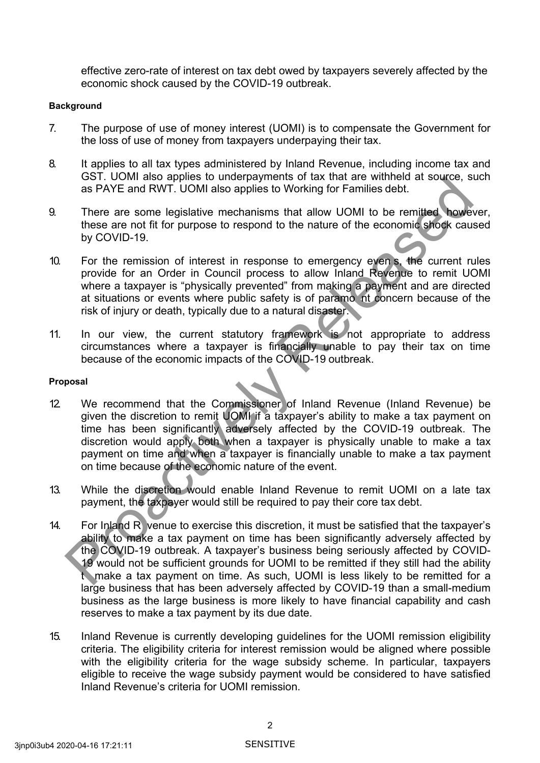effective zero-rate of interest on tax debt owed by taxpayers severely affected by the economic shock caused by the COVID-19 outbreak.

#### **Background**

- 7. The purpose of use of money interest (UOMI) is to compensate the Government for the loss of use of money from taxpayers underpaying their tax.
- 8. It applies to all tax types administered by Inland Revenue, including income tax and GST. UOMI also applies to underpayments of tax that are withheld at source, such as PAYE and RWT. UOMI also applies to Working for Families debt.
- 9. There are some legislative mechanisms that allow UOMI to be remitted however, these are not fit for purpose to respond to the nature of the economic shock caused by COVID-19.
- 10. For the remission of interest in response to emergency even s, the current rules provide for an Order in Council process to allow Inland Revenue to remit UOMI where a taxpayer is "physically prevented" from making a payment and are directed at situations or events where public safety is of paramo nt concern because of the risk of injury or death, typically due to a natural disaster.
- 11. In our view, the current statutory framework is not appropriate to address circumstances where a taxpayer is financially unable to pay their tax on time because of the economic impacts of the COVID-19 outbreak.

#### **Proposal**

- 12. We recommend that the Commissioner of Inland Revenue (Inland Revenue) be given the discretion to remit UOMI if a taxpayer's ability to make a tax payment on time has been significantly adversely affected by the COVID-19 outbreak. The discretion would apply both when a taxpayer is physically unable to make a tax payment on time and when a taxpayer is financially unable to make a tax payment on time because of the economic nature of the event. Using the was diplomation of the war line was the wind are windowned by COVI and RWT. UOMI also applies to Working for Families det.<br>There are some legislative mechanisms that allow UOMI to be remitted at soucce, so the co
- 13. While the discretion would enable Inland Revenue to remit UOMI on a late tax payment, the taxpayer would still be required to pay their core tax debt.
- 14. For Inland R venue to exercise this discretion, it must be satisfied that the taxpayer's ability to make a tax payment on time has been significantly adversely affected by the COVID-19 outbreak. A taxpayer's business being seriously affected by COVID-19 would not be sufficient grounds for UOMI to be remitted if they still had the ability t make a tax payment on time. As such, UOMI is less likely to be remitted for a large business that has been adversely affected by COVID-19 than a small-medium business as the large business is more likely to have financial capability and cash reserves to make a tax payment by its due date.
- 15. Inland Revenue is currently developing guidelines for the UOMI remission eligibility criteria. The eligibility criteria for interest remission would be aligned where possible with the eligibility criteria for the wage subsidy scheme. In particular, taxpayers eligible to receive the wage subsidy payment would be considered to have satisfied Inland Revenue's criteria for UOMI remission.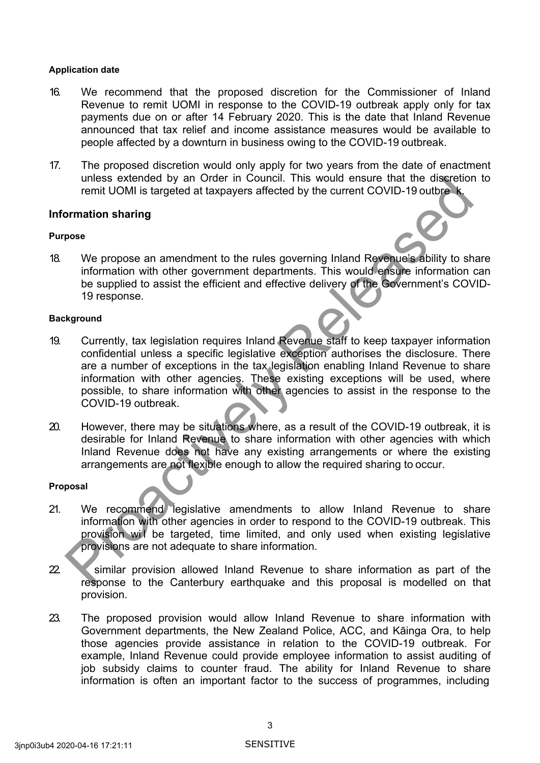#### **Application date**

- 16. We recommend that the proposed discretion for the Commissioner of Inland Revenue to remit UOMI in response to the COVID-19 outbreak apply only for tax payments due on or after 14 February 2020. This is the date that Inland Revenue announced that tax relief and income assistance measures would be available to people affected by a downturn in business owing to the COVID-19 outbreak.
- 17. The proposed discretion would only apply for two years from the date of enactment unless extended by an Order in Council. This would ensure that the discretion to remit UOMI is targeted at taxpayers affected by the current COVID-19 outbre k.

### **Information sharing**

### **Purpose**

18. We propose an amendment to the rules governing Inland Revenue's ability to share information with other government departments. This would ensure information can be supplied to assist the efficient and effective delivery of the Government's COVID-19 response.

#### **Background**

- 19. Currently, tax legislation requires Inland Revenue staff to keep taxpayer information confidential unless a specific legislative exception authorises the disclosure. There are a number of exceptions in the tax legislation enabling Inland Revenue to share information with other agencies. These existing exceptions will be used, where possible, to share information with other agencies to assist in the response to the COVID-19 outbreak. The matter in Columbus and the matter in the discrete that the discrete that the discrete that the conditions are the Columbus and the conditions of the condition with the discrete of the conditions of the condition of the
- 20. However, there may be situations where, as a result of the COVID-19 outbreak, it is desirable for Inland Revenue to share information with other agencies with which Inland Revenue does not have any existing arrangements or where the existing arrangements are not flexible enough to allow the required sharing to occur.

#### **Proposal**

- 21. We recommend legislative amendments to allow Inland Revenue to share information with other agencies in order to respond to the COVID-19 outbreak. This provision wil be targeted, time limited, and only used when existing legislative provisions are not adequate to share information.
- 22. Similar provision allowed Inland Revenue to share information as part of the response to the Canterbury earthquake and this proposal is modelled on that provision.
- 23. The proposed provision would allow Inland Revenue to share information with Government departments, the New Zealand Police, ACC, and Kāinga Ora, to help those agencies provide assistance in relation to the COVID-19 outbreak. For example, Inland Revenue could provide employee information to assist auditing of job subsidy claims to counter fraud. The ability for Inland Revenue to share information is often an important factor to the success of programmes, including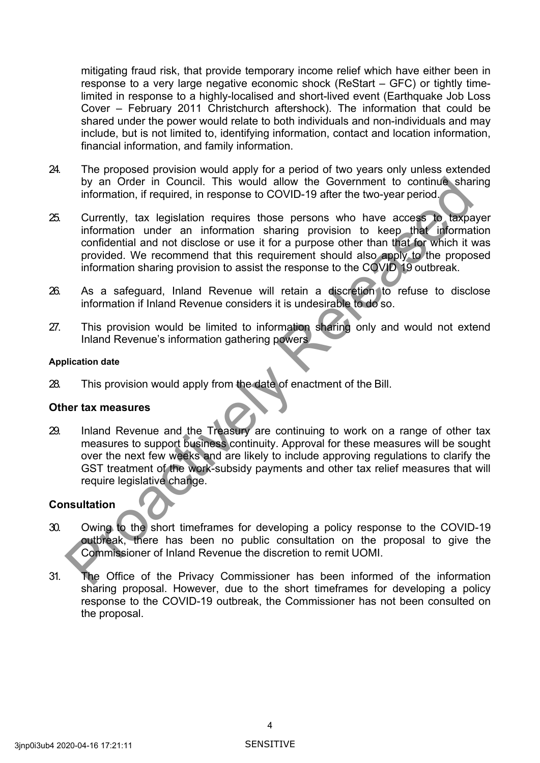mitigating fraud risk, that provide temporary income relief which have either been in response to a very large negative economic shock (ReStart – GFC) or tightly timelimited in response to a highly-localised and short-lived event (Earthquake Job Loss Cover – February 2011 Christchurch aftershock). The information that could be shared under the power would relate to both individuals and non-individuals and may include, but is not limited to, identifying information, contact and location information, financial information, and family information.

- 24. The proposed provision would apply for a period of two years only unless extended by an Order in Council. This would allow the Government to continue sharing information, if required, in response to COVID-19 after the two-year period.
- 25. Currently, tax legislation requires those persons who have access to taxpayer information under an information sharing provision to keep that information confidential and not disclose or use it for a purpose other than that for which it was provided. We recommend that this requirement should also apply to the proposed information sharing provision to assist the response to the COVID 19 outbreak. by an Order in Council. This would allow the Government to continue share<br>information, if required, in response to COVID-19 after the two-year period.<br>Currently, tax legislation requires those persons who have access to ta
- 26. As a safeguard, Inland Revenue will retain a discretion to refuse to disclose information if Inland Revenue considers it is undesirable to do so.
- 27. This provision would be limited to information sharing only and would not extend Inland Revenue's information gathering powers

### **Application date**

28. This provision would apply from the date of enactment of the Bill.

### **Other tax measures**

29. Inland Revenue and the Treasury are continuing to work on a range of other tax measures to support business continuity. Approval for these measures will be sought over the next few weeks and are likely to include approving regulations to clarify the GST treatment of the work-subsidy payments and other tax relief measures that will require legislative change.

## **Consultation**

- 30. Owing to the short timeframes for developing a policy response to the COVID-19 outbreak, there has been no public consultation on the proposal to give the Commissioner of Inland Revenue the discretion to remit UOMI.
- 31. The Office of the Privacy Commissioner has been informed of the information sharing proposal. However, due to the short timeframes for developing a policy response to the COVID-19 outbreak, the Commissioner has not been consulted on the proposal.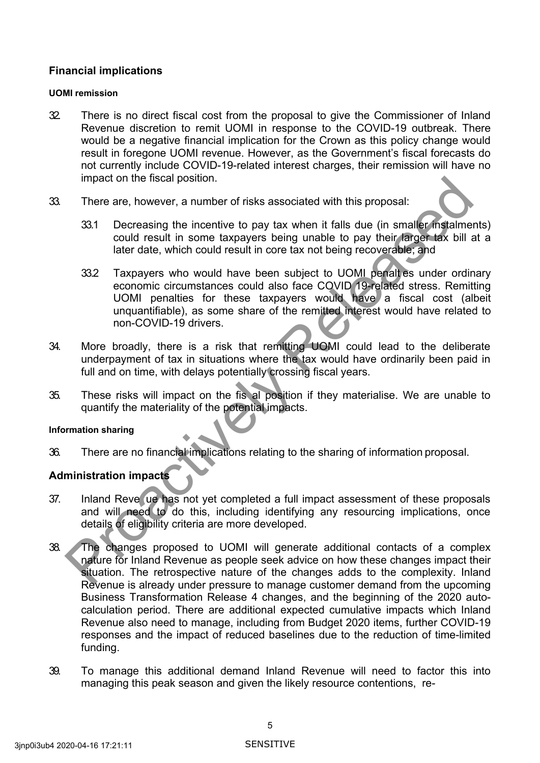## **Financial implications**

### **UOMI remission**

- 32. There is no direct fiscal cost from the proposal to give the Commissioner of Inland Revenue discretion to remit UOMI in response to the COVID-19 outbreak. There would be a negative financial implication for the Crown as this policy change would result in foregone UOMI revenue. However, as the Government's fiscal forecasts do not currently include COVID-19-related interest charges, their remission will have no impact on the fiscal position.
- 33. There are, however, a number of risks associated with this proposal:
	- 33.1 Decreasing the incentive to pay tax when it falls due (in smaller instalments) could result in some taxpayers being unable to pay their larger tax bill at a later date, which could result in core tax not being recoverable; and
- 33.2 Taxpayers who would have been subject to UOMI penalt es under ordinary economic circumstances could also face COVID 19-related stress. Remitting UOMI penalties for these taxpayers would have a fiscal cost (albeit unquantifiable), as some share of the remitted interest would have related to non-COVID-19 drivers. mpact on the fiscal position.<br>
There are, however, a number of risks associated with this proposal:<br>
23.1 Decreasing the incomitive to pay tax when it falls due (in smaller instalment could result in some taxpayers being u
- 34. More broadly, there is a risk that remitting UOMI could lead to the deliberate underpayment of tax in situations where the tax would have ordinarily been paid in full and on time, with delays potentially crossing fiscal years.
- 35. These risks will impact on the fis al position if they materialise. We are unable to quantify the materiality of the potential impacts.

### **Information sharing**

36. There are no financial implications relating to the sharing of information proposal.

# **Administration impacts**

- 37. Inland Reve ue has not yet completed a full impact assessment of these proposals and will need to do this, including identifying any resourcing implications, once details of eligibility criteria are more developed.
- 38. The changes proposed to UOMI will generate additional contacts of a complex nature for Inland Revenue as people seek advice on how these changes impact their situation. The retrospective nature of the changes adds to the complexity. Inland Revenue is already under pressure to manage customer demand from the upcoming Business Transformation Release 4 changes, and the beginning of the 2020 autocalculation period. There are additional expected cumulative impacts which Inland Revenue also need to manage, including from Budget 2020 items, further COVID-19 responses and the impact of reduced baselines due to the reduction of time-limited funding.
- 39. To manage this additional demand Inland Revenue will need to factor this into managing this peak season and given the likely resource contentions, re-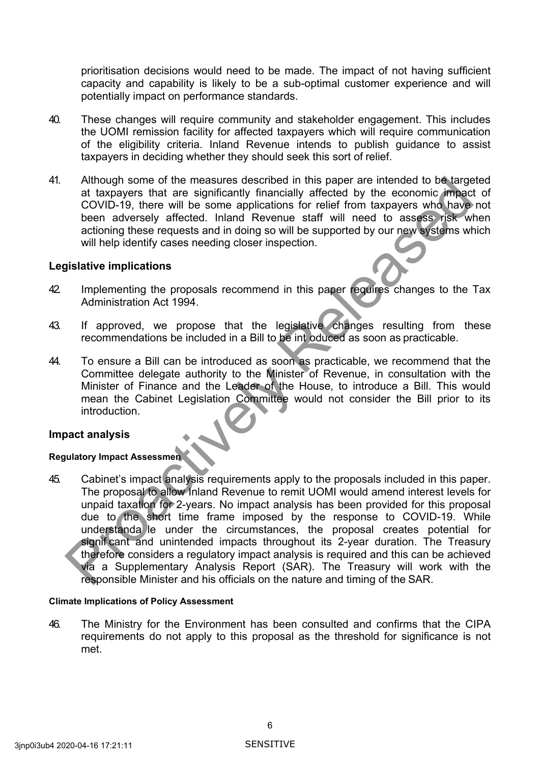prioritisation decisions would need to be made. The impact of not having sufficient capacity and capability is likely to be a sub-optimal customer experience and will potentially impact on performance standards.

- 40. These changes will require community and stakeholder engagement. This includes the UOMI remission facility for affected taxpayers which will require communication of the eligibility criteria. Inland Revenue intends to publish guidance to assist taxpayers in deciding whether they should seek this sort of relief.
- 41. Although some of the measures described in this paper are intended to be targeted at taxpayers that are significantly financially affected by the economic impact of COVID-19, there will be some applications for relief from taxpayers who have not been adversely affected. Inland Revenue staff will need to assess risk when actioning these requests and in doing so will be supported by our new systems which will help identify cases needing closer inspection.

### **Legislative implications**

- 42. Implementing the proposals recommend in this paper requires changes to the Tax Administration Act 1994.
- 43. If approved, we propose that the legislative changes resulting from these recommendations be included in a Bill to be int oduced as soon as practicable.
- 44. To ensure a Bill can be introduced as soon as practicable, we recommend that the Committee delegate authority to the Minister of Revenue, in consultation with the Minister of Finance and the Leader of the House, to introduce a Bill. This would mean the Cabinet Legislation Committee would not consider the Bill prior to its introduction.

### **Impact analysis**

### **Regulatory Impact Assessmen**

45. Cabinet's impact analysis requirements apply to the proposals included in this paper. The proposal to allow Inland Revenue to remit UOMI would amend interest levels for unpaid taxation for 2-years. No impact analysis has been provided for this proposal due to the short time frame imposed by the response to COVID-19. While understanda le under the circumstances, the proposal creates potential for signif cant and unintended impacts throughout its 2-year duration. The Treasury therefore considers a regulatory impact analysis is required and this can be achieved via a Supplementary Analysis Report (SAR). The Treasury will work with the responsible Minister and his officials on the nature and timing of the SAR. Although some of the measures described in this paper are intended to be large<br>than the system are intended to be denoted the economic image<br>cOVID-19, there will be some applications for relief from taxpayers who have<br>been

### **Climate Implications of Policy Assessment**

46. The Ministry for the Environment has been consulted and confirms that the CIPA requirements do not apply to this proposal as the threshold for significance is not met.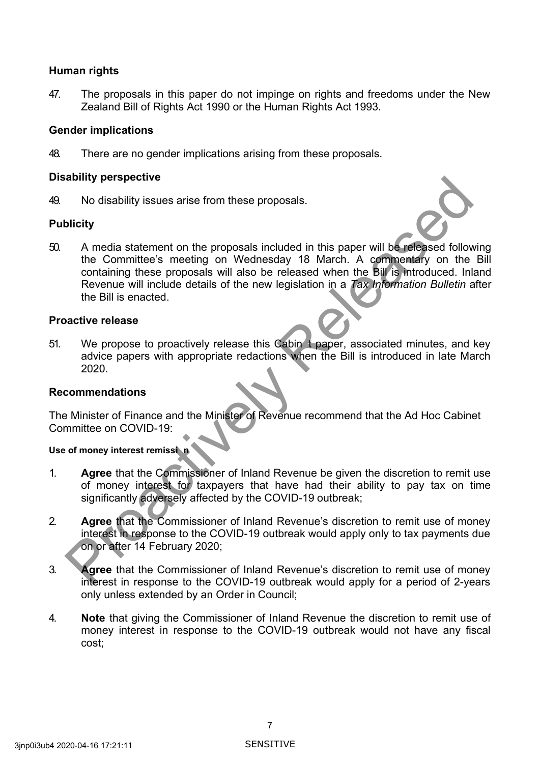## **Human rights**

47. The proposals in this paper do not impinge on rights and freedoms under the New Zealand Bill of Rights Act 1990 or the Human Rights Act 1993.

## **Gender implications**

48. There are no gender implications arising from these proposals.

### **Disability perspective**

49. No disability issues arise from these proposals.

### **Publicity**

50. A media statement on the proposals included in this paper will be released following the Committee's meeting on Wednesday 18 March. A commentary on the Bill containing these proposals will also be released when the Bill is introduced. Inland Revenue will include details of the new legislation in a *Tax Information Bulletin* after the Bill is enacted. Motivality perspective<br>
No disability issues arise from these proposals.<br>
A media statement on the proposals included in this paper will be refersed follow<br>
the Committee's meeting on Wednesday 18 March. A commentary on th

### **Proactive release**

51. We propose to proactively release this Cabin t paper, associated minutes, and key advice papers with appropriate redactions when the Bill is introduced in late March 2020.

## **Recommendations**

The Minister of Finance and the Minister of Revenue recommend that the Ad Hoc Cabinet Committee on COVID-19:

### **Use of money interest remissi n**

- 1. **Agree** that the Commissioner of Inland Revenue be given the discretion to remit use of money interest for taxpayers that have had their ability to pay tax on time significantly adversely affected by the COVID-19 outbreak;
- 2. **Agree** that the Commissioner of Inland Revenue's discretion to remit use of money interest in response to the COVID-19 outbreak would apply only to tax payments due on or after 14 February 2020;
- 3. **Agree** that the Commissioner of Inland Revenue's discretion to remit use of money interest in response to the COVID-19 outbreak would apply for a period of 2-years only unless extended by an Order in Council;
- 4. **Note** that giving the Commissioner of Inland Revenue the discretion to remit use of money interest in response to the COVID-19 outbreak would not have any fiscal cost;